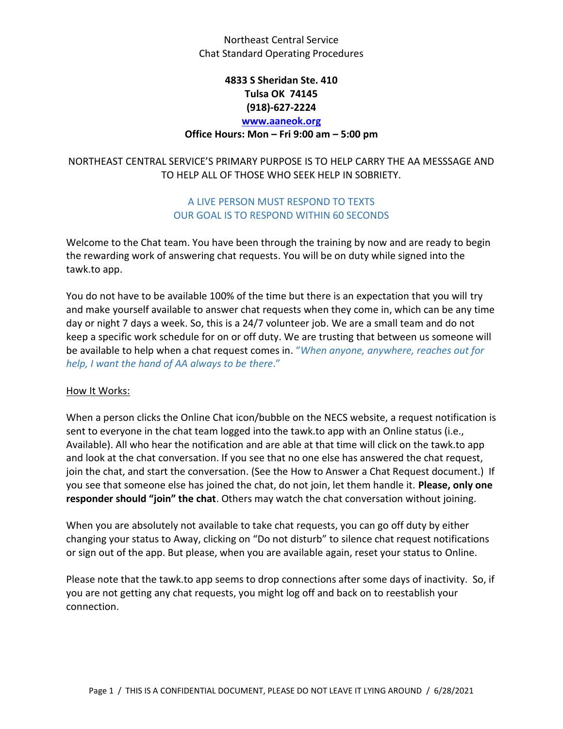## **4833 S Sheridan Ste. 410 Tulsa OK 74145 (918)-627-2224 [www.aaneok.org](http://www.aaneok.org/)**

### **Office Hours: Mon – Fri 9:00 am – 5:00 pm**

## NORTHEAST CENTRAL SERVICE'S PRIMARY PURPOSE IS TO HELP CARRY THE AA MESSSAGE AND TO HELP ALL OF THOSE WHO SEEK HELP IN SOBRIETY.

### A LIVE PERSON MUST RESPOND TO TEXTS OUR GOAL IS TO RESPOND WITHIN 60 SECONDS

Welcome to the Chat team. You have been through the training by now and are ready to begin the rewarding work of answering chat requests. You will be on duty while signed into the tawk.to app.

You do not have to be available 100% of the time but there is an expectation that you will try and make yourself available to answer chat requests when they come in, which can be any time day or night 7 days a week. So, this is a 24/7 volunteer job. We are a small team and do not keep a specific work schedule for on or off duty. We are trusting that between us someone will be available to help when a chat request comes in. "*When anyone, anywhere, reaches out for help, I want the hand of AA always to be there*."

#### How It Works:

When a person clicks the Online Chat icon/bubble on the NECS website, a request notification is sent to everyone in the chat team logged into the tawk.to app with an Online status (i.e., Available). All who hear the notification and are able at that time will click on the tawk.to app and look at the chat conversation. If you see that no one else has answered the chat request, join the chat, and start the conversation. (See the How to Answer a Chat Request document.) If you see that someone else has joined the chat, do not join, let them handle it. **Please, only one responder should "join" the chat**. Others may watch the chat conversation without joining.

When you are absolutely not available to take chat requests, you can go off duty by either changing your status to Away, clicking on "Do not disturb" to silence chat request notifications or sign out of the app. But please, when you are available again, reset your status to Online.

Please note that the tawk.to app seems to drop connections after some days of inactivity. So, if you are not getting any chat requests, you might log off and back on to reestablish your connection.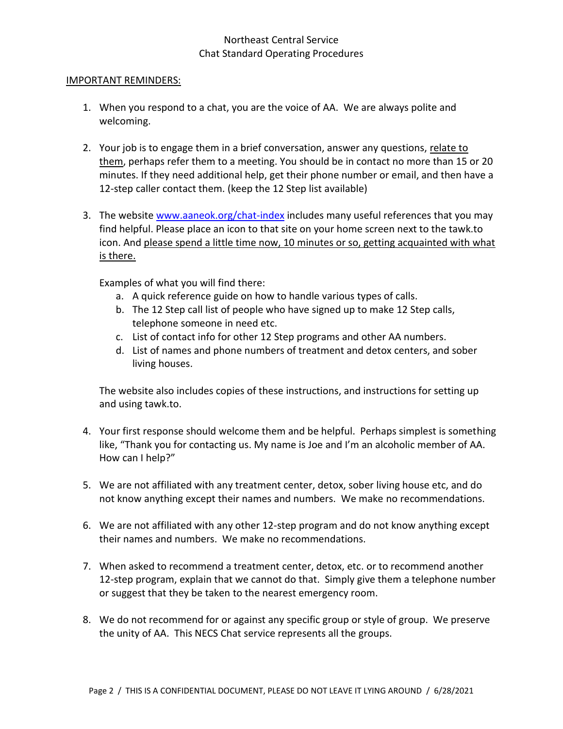#### IMPORTANT REMINDERS:

- 1. When you respond to a chat, you are the voice of AA. We are always polite and welcoming.
- 2. Your job is to engage them in a brief conversation, answer any questions, relate to them, perhaps refer them to a meeting. You should be in contact no more than 15 or 20 minutes. If they need additional help, get their phone number or email, and then have a 12-step caller contact them. (keep the 12 Step list available)
- 3. The website [www.aaneok.org/chat-index](http://www.aaneok.org/chat-index) includes many useful references that you may find helpful. Please place an icon to that site on your home screen next to the tawk.to icon. And please spend a little time now, 10 minutes or so, getting acquainted with what is there.

Examples of what you will find there:

- a. A quick reference guide on how to handle various types of calls.
- b. The 12 Step call list of people who have signed up to make 12 Step calls, telephone someone in need etc.
- c. List of contact info for other 12 Step programs and other AA numbers.
- d. List of names and phone numbers of treatment and detox centers, and sober living houses.

The website also includes copies of these instructions, and instructions for setting up and using tawk.to.

- 4. Your first response should welcome them and be helpful. Perhaps simplest is something like, "Thank you for contacting us. My name is Joe and I'm an alcoholic member of AA. How can I help?"
- 5. We are not affiliated with any treatment center, detox, sober living house etc, and do not know anything except their names and numbers. We make no recommendations.
- 6. We are not affiliated with any other 12-step program and do not know anything except their names and numbers. We make no recommendations.
- 7. When asked to recommend a treatment center, detox, etc. or to recommend another 12-step program, explain that we cannot do that. Simply give them a telephone number or suggest that they be taken to the nearest emergency room.
- 8. We do not recommend for or against any specific group or style of group. We preserve the unity of AA. This NECS Chat service represents all the groups.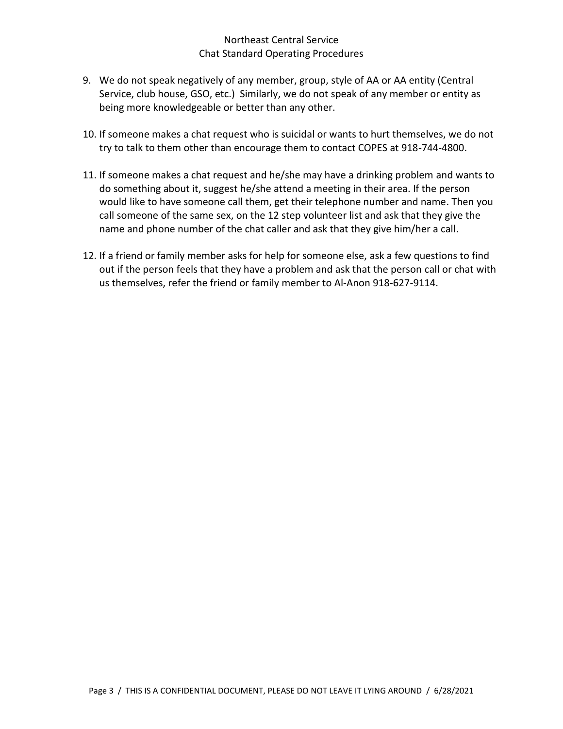- 9. We do not speak negatively of any member, group, style of AA or AA entity (Central Service, club house, GSO, etc.) Similarly, we do not speak of any member or entity as being more knowledgeable or better than any other.
- 10. If someone makes a chat request who is suicidal or wants to hurt themselves, we do not try to talk to them other than encourage them to contact COPES at 918-744-4800.
- 11. If someone makes a chat request and he/she may have a drinking problem and wants to do something about it, suggest he/she attend a meeting in their area. If the person would like to have someone call them, get their telephone number and name. Then you call someone of the same sex, on the 12 step volunteer list and ask that they give the name and phone number of the chat caller and ask that they give him/her a call.
- 12. If a friend or family member asks for help for someone else, ask a few questions to find out if the person feels that they have a problem and ask that the person call or chat with us themselves, refer the friend or family member to Al-Anon 918-627-9114.